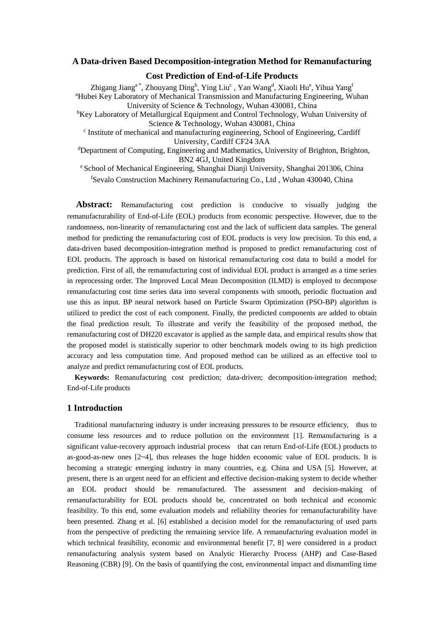# **A Data-driven Based Decomposition-integration Method for Remanufacturing**

# **Cost Prediction of End-of-Life Products**

Zhigang Jiang<sup>a\*</sup>, Zhouyang Ding<sup>b</sup>, Ying Liu<sup>c</sup> , Yan Wang<sup>d</sup>, Xiaoli Hu<sup>e</sup>, Yihua Yang<sup>1</sup> <sup>a</sup>Hubei Key Laboratory of Mechanical Transmission and Manufacturing Engineering, Wuhan University of Science & Technology, Wuhan 430081, China

<sup>b</sup>Key Laboratory of Metallurgical Equipment and Control Technology, Wuhan University of Science & Technology, Wuhan 430081, China

<sup>c</sup> Institute of mechanical and manufacturing engineering, School of Engineering, Cardiff University, Cardiff CF24 3AA

<sup>d</sup>Department of Computing, Engineering and Mathematics, University of Brighton, Brighton, BN2 4GJ, United Kingdom

e School of Mechanical Engineering, Shanghai Dianji University, Shanghai 201306, China f Sevalo Construction Machinery Remanufacturing Co., Ltd , Wuhan 430040, China

**Abstract:** Remanufacturing cost prediction is conducive to visually judging the remanufacturability of End-of-Life (EOL) products from economic perspective. However, due to the randomness, non-linearity of remanufacturing cost and the lack of sufficient data samples. The general method for predicting the remanufacturing cost of EOL products is very low precision. To this end, a data-driven based decomposition-integration method is proposed to predict remanufacturing cost of EOL products. The approach is based on historical remanufacturing cost data to build a model for prediction. First of all, the remanufacturing cost of individual EOL product is arranged as a time series in reprocessing order. The Improved Local Mean Decomposition (ILMD) is employed to decompose remanufacturing cost time series data into several components with smooth, periodic fluctuation and use this as input. BP neural network based on Particle Swarm Optimization (PSO-BP) algorithm is utilized to predict the cost of each component. Finally, the predicted components are added to obtain the final prediction result. To illustrate and verify the feasibility of the proposed method, the remanufacturing cost of DH220 excavator is applied as the sample data, and empirical results show that the proposed model is statistically superior to other benchmark models owing to its high prediction accuracy and less computation time. And proposed method can be utilized as an effective tool to analyze and predict remanufacturing cost of EOL products.

**Keywords:** Remanufacturing cost prediction; data-driven; decomposition-integration method; End-of-Life products

# **1 Introduction**

Traditional manufacturing industry is under increasing pressures to be resource efficiency, thus to consume less resources and to reduce pollution on the environment [1]. Remanufacturing is a significant value-recovery approach industrial process that can return End-of-Life (EOL) products to as-good-as-new ones  $[2-4]$ , thus releases the huge hidden economic value of EOL products. It is becoming a strategic emerging industry in many countries, e.g. China and USA [5]. However, at present, there is an urgent need for an efficient and effective decision-making system to decide whether an EOL product should be remanufactured. The assessment and decision-making of remanufacturability for EOL products should be, concentrated on both technical and economic feasibility. To this end, some evaluation models and reliability theories for remanufacturability have been presented. Zhang et al. [6] established a decision model for the remanufacturing of used parts from the perspective of predicting the remaining service life. A remanufacturing evaluation model in which technical feasibility, economic and environmental benefit [7, 8] were considered in a product remanufacturing analysis system based on Analytic Hierarchy Process (AHP) and Case-Based Reasoning (CBR) [9]. On the basis of quantifying the cost, environmental impact and dismantling time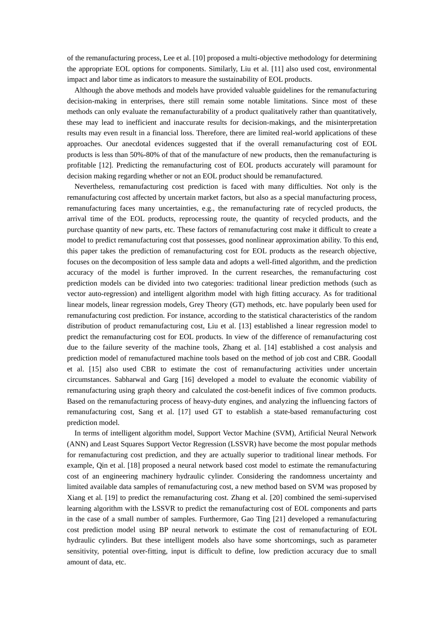of the remanufacturing process, Lee et al. [10] proposed a multi-objective methodology for determining the appropriate EOL options for components. Similarly, Liu et al. [11] also used cost, environmental impact and labor time as indicators to measure the sustainability of EOL products.

Although the above methods and models have provided valuable guidelines for the remanufacturing decision-making in enterprises, there still remain some notable limitations. Since most of these methods can only evaluate the remanufacturability of a product qualitatively rather than quantitatively, these may lead to inefficient and inaccurate results for decision-makings, and the misinterpretation results may even result in a financial loss. Therefore, there are limited real-world applications of these approaches. Our anecdotal evidences suggested that if the overall remanufacturing cost of EOL products is less than 50%-80% of that of the manufacture of new products, then the remanufacturing is profitable [12]. Predicting the remanufacturing cost of EOL products accurately will paramount for decision making regarding whether or not an EOL product should be remanufactured.

Nevertheless, remanufacturing cost prediction is faced with many difficulties. Not only is the remanufacturing cost affected by uncertain market factors, but also as a special manufacturing process, remanufacturing faces many uncertainties, e.g., the remanufacturing rate of recycled products, the arrival time of the EOL products, reprocessing route, the quantity of recycled products, and the purchase quantity of new parts, etc. These factors of remanufacturing cost make it difficult to create a model to predict remanufacturing cost that possesses, good nonlinear approximation ability. To this end, this paper takes the prediction of remanufacturing cost for EOL products as the research objective, focuses on the decomposition of less sample data and adopts a well-fitted algorithm, and the prediction accuracy of the model is further improved. In the current researches, the remanufacturing cost prediction models can be divided into two categories: traditional linear prediction methods (such as vector auto-regression) and intelligent algorithm model with high fitting accuracy. As for traditional linear models, linear regression models, Grey Theory (GT) methods, etc. have popularly been used for remanufacturing cost prediction. For instance, according to the statistical characteristics of the random distribution of product remanufacturing cost, Liu et al. [13] established a linear regression model to predict the remanufacturing cost for EOL products. In view of the difference of remanufacturing cost due to the failure severity of the machine tools, Zhang et al. [14] established a cost analysis and prediction model of remanufactured machine tools based on the method of job cost and CBR. Goodall et al. [15] also used CBR to estimate the cost of remanufacturing activities under uncertain circumstances. Sabharwal and Garg [16] developed a model to evaluate the economic viability of remanufacturing using graph theory and calculated the cost-benefit indices of five common products. Based on the remanufacturing process of heavy-duty engines, and analyzing the influencing factors of remanufacturing cost, Sang et al. [17] used GT to establish a state-based remanufacturing cost prediction model.

In terms of intelligent algorithm model, Support Vector Machine (SVM), Artificial Neural Network (ANN) and Least Squares Support Vector Regression (LSSVR) have become the most popular methods for remanufacturing cost prediction, and they are actually superior to traditional linear methods. For example, Qin et al. [18] proposed a neural network based cost model to estimate the remanufacturing cost of an engineering machinery hydraulic cylinder. Considering the randomness uncertainty and limited available data samples of remanufacturing cost, a new method based on SVM was proposed by Xiang et al. [19] to predict the remanufacturing cost. Zhang et al. [20] combined the semi-supervised learning algorithm with the LSSVR to predict the remanufacturing cost of EOL components and parts in the case of a small number of samples. Furthermore, Gao Ting [21] developed a remanufacturing cost prediction model using BP neural network to estimate the cost of remanufacturing of EOL hydraulic cylinders. But these intelligent models also have some shortcomings, such as parameter sensitivity, potential over-fitting, input is difficult to define, low prediction accuracy due to small amount of data, etc.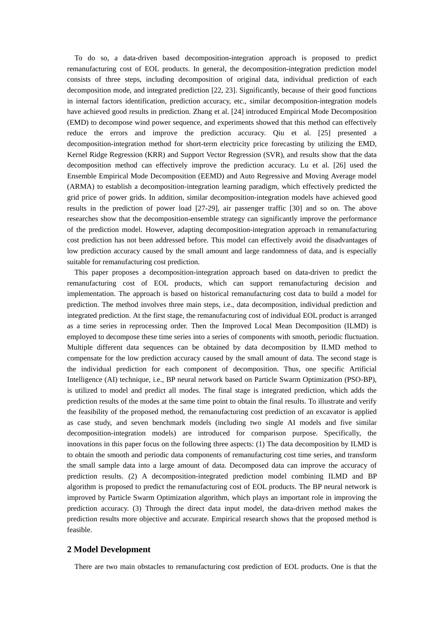To do so, a data-driven based decomposition-integration approach is proposed to predict remanufacturing cost of EOL products. In general, the decomposition-integration prediction model consists of three steps, including decomposition of original data, individual prediction of each decomposition mode, and integrated prediction [22, 23]. Significantly, because of their good functions in internal factors identification, prediction accuracy, etc., similar decomposition-integration models have achieved good results in prediction. Zhang et al. [24] introduced Empirical Mode Decomposition (EMD) to decompose wind power sequence, and experiments showed that this method can effectively reduce the errors and improve the prediction accuracy. Qiu et al. [25] presented a decomposition-integration method for short-term electricity price forecasting by utilizing the EMD, Kernel Ridge Regression (KRR) and Support Vector Regression (SVR), and results show that the data decomposition method can effectively improve the prediction accuracy. Lu et al. [26] used the Ensemble Empirical Mode Decomposition (EEMD) and Auto Regressive and Moving Average model (ARMA) to establish a decomposition-integration learning paradigm, which effectively predicted the grid price of power grids. In addition, similar decomposition-integration models have achieved good results in the prediction of power load [27-29], air passenger traffic [30] and so on. The above researches show that the decomposition-ensemble strategy can significantly improve the performance of the prediction model. However, adapting decomposition-integration approach in remanufacturing cost prediction has not been addressed before. This model can effectively avoid the disadvantages of low prediction accuracy caused by the small amount and large randomness of data, and is especially suitable for remanufacturing cost prediction.

This paper proposes a decomposition-integration approach based on data-driven to predict the remanufacturing cost of EOL products, which can support remanufacturing decision and implementation. The approach is based on historical remanufacturing cost data to build a model for prediction. The method involves three main steps, i.e., data decomposition, individual prediction and integrated prediction. At the first stage, the remanufacturing cost of individual EOL product is arranged as a time series in reprocessing order. Then the Improved Local Mean Decomposition (ILMD) is employed to decompose these time series into a series of components with smooth, periodic fluctuation. Multiple different data sequences can be obtained by data decomposition by ILMD method to compensate for the low prediction accuracy caused by the small amount of data. The second stage is the individual prediction for each component of decomposition. Thus, one specific Artificial Intelligence (AI) technique, i.e., BP neural network based on Particle Swarm Optimization (PSO-BP), is utilized to model and predict all modes. The final stage is integrated prediction, which adds the prediction results of the modes at the same time point to obtain the final results. To illustrate and verify the feasibility of the proposed method, the remanufacturing cost prediction of an excavator is applied as case study, and seven benchmark models (including two single AI models and five similar decomposition-integration models) are introduced for comparison purpose. Specifically, the innovations in this paper focus on the following three aspects: (1) The data decomposition by ILMD is to obtain the smooth and periodic data components of remanufacturing cost time series, and transform the small sample data into a large amount of data. Decomposed data can improve the accuracy of prediction results. (2) A decomposition-integrated prediction model combining ILMD and BP algorithm is proposed to predict the remanufacturing cost of EOL products. The BP neural network is improved by Particle Swarm Optimization algorithm, which plays an important role in improving the prediction accuracy. (3) Through the direct data input model, the data-driven method makes the prediction results more objective and accurate. Empirical research shows that the proposed method is feasible.

## **2 Model Development**

There are two main obstacles to remanufacturing cost prediction of EOL products. One is that the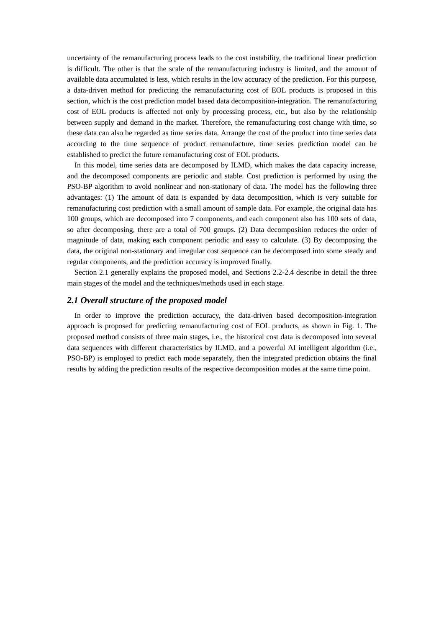uncertainty of the remanufacturing process leads to the cost instability, the traditional linear prediction is difficult. The other is that the scale of the remanufacturing industry is limited, and the amount of available data accumulated is less, which results in the low accuracy of the prediction. For this purpose, a data-driven method for predicting the remanufacturing cost of EOL products is proposed in this section, which is the cost prediction model based data decomposition-integration. The remanufacturing cost of EOL products is affected not only by processing process, etc., but also by the relationship between supply and demand in the market. Therefore, the remanufacturing cost change with time, so these data can also be regarded as time series data. Arrange the cost of the product into time series data according to the time sequence of product remanufacture, time series prediction model can be established to predict the future remanufacturing cost of EOL products.

In this model, time series data are decomposed by ILMD, which makes the data capacity increase, and the decomposed components are periodic and stable. Cost prediction is performed by using the PSO-BP algorithm to avoid nonlinear and non-stationary of data. The model has the following three advantages: (1) The amount of data is expanded by data decomposition, which is very suitable for remanufacturing cost prediction with a small amount of sample data. For example, the original data has 100 groups, which are decomposed into 7 components, and each component also has 100 sets of data, so after decomposing, there are a total of 700 groups. (2) Data decomposition reduces the order of magnitude of data, making each component periodic and easy to calculate. (3) By decomposing the data, the original non-stationary and irregular cost sequence can be decomposed into some steady and regular components, and the prediction accuracy is improved finally.

Section 2.1 generally explains the proposed model, and Sections 2.2-2.4 describe in detail the three main stages of the model and the techniques/methods used in each stage.

### *2.1 Overall structure of the proposed model*

In order to improve the prediction accuracy, the data-driven based decomposition-integration approach is proposed for predicting remanufacturing cost of EOL products, as shown in Fig. 1. The proposed method consists of three main stages, i.e., the historical cost data is decomposed into several data sequences with different characteristics by ILMD, and a powerful AI intelligent algorithm (i.e., PSO-BP) is employed to predict each mode separately, then the integrated prediction obtains the final results by adding the prediction results of the respective decomposition modes at the same time point.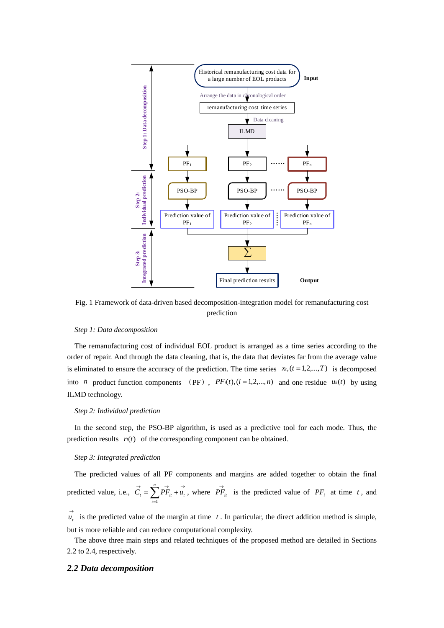

Fig. 1 Framework of data-driven based decomposition-integration model for remanufacturing cost prediction

## *Step 1: Data decomposition*

The remanufacturing cost of individual EOL product is arranged as a time series according to the order of repair. And through the data cleaning, that is, the data that deviates far from the average value is eliminated to ensure the accuracy of the prediction. The time series  $x_t$ ,  $(t = 1, 2, ..., T)$  is decomposed into *n* product function components (PF),  $PF_i(t)$ ,  $(i = 1, 2, ..., n)$  and one residue  $u_k(t)$  by using ILMD technology.

#### *Step 2: Individual prediction*

In the second step, the PSO-BP algorithm, is used as a predictive tool for each mode. Thus, the prediction results  $r_i(t)$  of the corresponding component can be obtained.

#### *Step 3: Integrated prediction*

The predicted values of all PF components and margins are added together to obtain the final predicted value, i.e.,  $\vec{C}_t = \sum_{i=1}^{n} \vec{PF}_{it} + \vec{u}_t$ =  $\vec{C}_t = \sum^n \vec{PF}_{it} + \vec{u}_t$ *i*  $C_t = \sum PF_{it} + u$ 1 , where  $\overrightarrow{PF}_{it}$  is the predicted value of  $\overrightarrow{PF}_{it}$  at time  $t$ , and

 $\vec{u}_t$  is the predicted value of the margin at time *t*. In particular, the direct addition method is simple, but is more reliable and can reduce computational complexity.

The above three main steps and related techniques of the proposed method are detailed in Sections 2.2 to 2.4, respectively.

#### *2.2 Data decomposition*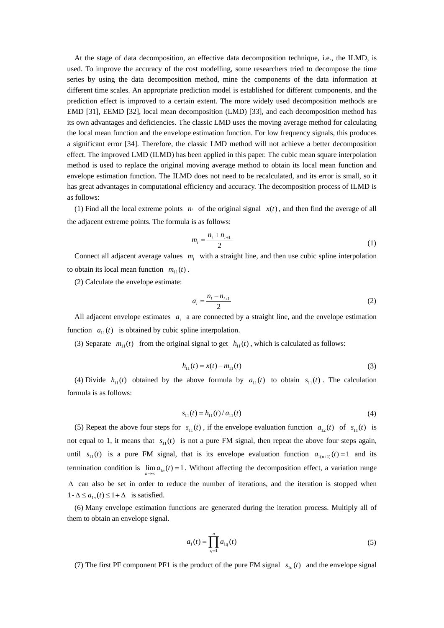At the stage of data decomposition, an effective data decomposition technique, i.e., the ILMD, is used. To improve the accuracy of the cost modelling, some researchers tried to decompose the time series by using the data decomposition method, mine the components of the data information at different time scales. An appropriate prediction model is established for different components, and the prediction effect is improved to a certain extent. The more widely used decomposition methods are EMD [31], EEMD [32], local mean decomposition (LMD) [33], and each decomposition method has its own advantages and deficiencies. The classic LMD uses the moving average method for calculating the local mean function and the envelope estimation function. For low frequency signals, this produces a significant error [34]. Therefore, the classic LMD method will not achieve a better decomposition effect. The improved LMD (ILMD) has been applied in this paper. The cubic mean square interpolation method is used to replace the original moving average method to obtain its local mean function and envelope estimation function. The ILMD does not need to be recalculated, and its error is small, so it has great advantages in computational efficiency and accuracy. The decomposition process of ILMD is as follows:

(1) Find all the local extreme points  $n_i$  of the original signal  $x(t)$ , and then find the average of all the adjacent extreme points. The formula is as follows:

$$
m_i = \frac{n_i + n_{i+1}}{2}
$$
 (1)

Connect all adjacent average values  $m<sub>i</sub>$  with a straight line, and then use cubic spline interpolation to obtain its local mean function  $m_{11}(t)$ .

(2) Calculate the envelope estimate:

$$
a_i = \frac{n_i - n_{i+1}}{2} \tag{2}
$$

All adjacent envelope estimates  $a_i$  a are connected by a straight line, and the envelope estimation function  $a_{11}(t)$  is obtained by cubic spline interpolation.

(3) Separate  $m_{11}(t)$  from the original signal to get  $h_{11}(t)$ , which is calculated as follows:

$$
h_{11}(t) = x(t) - m_{11}(t) \tag{3}
$$

(4) Divide  $h_{11}(t)$  obtained by the above formula by  $a_{11}(t)$  to obtain  $s_{11}(t)$ . The calculation formula is as follows:

$$
s_{11}(t) = h_{11}(t) / a_{11}(t) \tag{4}
$$

(5) Repeat the above four steps for  $s_{11}(t)$ , if the envelope evaluation function  $a_{12}(t)$  of  $s_{11}(t)$  is not equal to 1, it means that  $s_{11}(t)$  is not a pure FM signal, then repeat the above four steps again, until  $s_{11}(t)$  is a pure FM signal, that is its envelope evaluation function  $a_{1(n+1)}(t) = 1$  and its termination condition is  $\lim_{n\to\infty} a_{1n}(t) = 1$ . Without affecting the decomposition effect, a variation range ∆ can also be set in order to reduce the number of iterations, and the iteration is stopped when  $1 - \Delta \le a_{1n}(t) \le 1 + \Delta$  is satisfied.

(6) Many envelope estimation functions are generated during the iteration process. Multiply all of them to obtain an envelope signal.

$$
a_1(t) = \prod_{q=1}^{n} a_{1q}(t)
$$
 (5)

(7) The first PF component PF1 is the product of the pure FM signal  $s_{1n}(t)$  and the envelope signal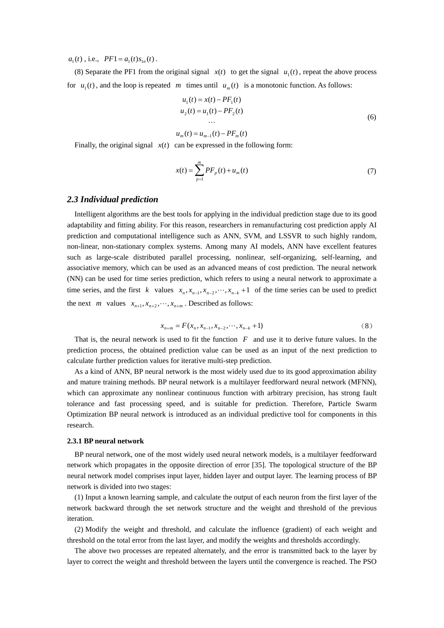$a_1(t)$ , i.e.,  $PF1 = a_1(t) s_{1n}(t)$ .

(8) Separate the PF1 from the original signal  $x(t)$  to get the signal  $u_1(t)$ , repeat the above process for  $u_1(t)$ , and the loop is repeated *m* times until  $u_m(t)$  is a monotonic function. As follows:

$$
u_1(t) = x(t) - PF_1(t)
$$
  
\n
$$
u_2(t) = u_1(t) - PF_2(t)
$$
  
\n...  
\n
$$
u_m(t) = u_{m-1}(t) - PF_m(t)
$$
\n(6)

Finally, the original signal  $x(t)$  can be expressed in the following form:

$$
x(t) = \sum_{p=1}^{m} PF_p(t) + u_m(t)
$$
\n(7)

#### *2.3 Individual prediction*

Intelligent algorithms are the best tools for applying in the individual prediction stage due to its good adaptability and fitting ability. For this reason, researchers in remanufacturing cost prediction apply AI prediction and computational intelligence such as ANN, SVM, and LSSVR to such highly random, non-linear, non-stationary complex systems. Among many AI models, ANN have excellent features such as large-scale distributed parallel processing, nonlinear, self-organizing, self-learning, and associative memory, which can be used as an advanced means of cost prediction. The neural network (NN) can be used for time series prediction, which refers to using a neural network to approximate a time series, and the first *k* values  $x_n, x_{n-1}, x_{n-2}, \dots, x_{n-k} + 1$  of the time series can be used to predict the next *m* values  $x_{n+1}, x_{n+2}, \dots, x_{n+m}$ . Described as follows:

$$
x_{n+m} = F(x_n, x_{n-1}, x_{n-2}, \cdots, x_{n-k} + 1)
$$
 (8)

That is, the neural network is used to fit the function *F* and use it to derive future values. In the prediction process, the obtained prediction value can be used as an input of the next prediction to calculate further prediction values for iterative multi-step prediction.

As a kind of ANN, BP neural network is the most widely used due to its good approximation ability and mature training methods. BP neural network is a multilayer feedforward neural network (MFNN), which can approximate any nonlinear continuous function with arbitrary precision, has strong fault tolerance and fast processing speed, and is suitable for prediction. Therefore, Particle Swarm Optimization BP neural network is introduced as an individual predictive tool for components in this research.

#### **2.3.1 BP neural network**

BP neural network, one of the most widely used neural network models, is a multilayer feedforward network which propagates in the opposite direction of error [35]. The topological structure of the BP neural network model comprises input layer, hidden layer and output layer. The learning process of BP network is divided into two stages:

(1) Input a known learning sample, and calculate the output of each neuron from the first layer of the network backward through the set network structure and the weight and threshold of the previous iteration.

(2) Modify the weight and threshold, and calculate the influence (gradient) of each weight and threshold on the total error from the last layer, and modify the weights and thresholds accordingly.

The above two processes are repeated alternately, and the error is transmitted back to the layer by layer to correct the weight and threshold between the layers until the convergence is reached. The PSO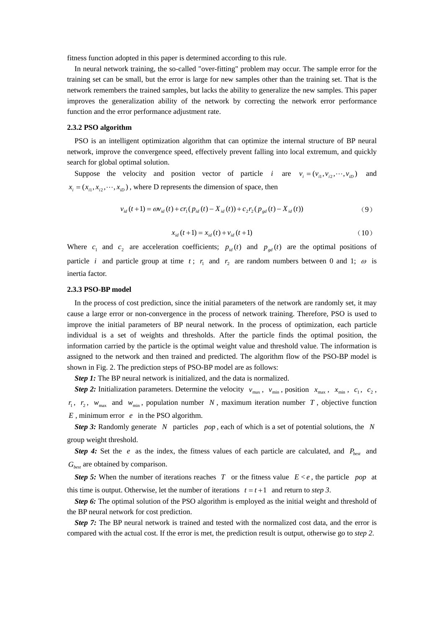fitness function adopted in this paper is determined according to this rule.

In neural network training, the so-called "over-fitting" problem may occur. The sample error for the training set can be small, but the error is large for new samples other than the training set. That is the network remembers the trained samples, but lacks the ability to generalize the new samples. This paper improves the generalization ability of the network by correcting the network error performance function and the error performance adjustment rate.

## **2.3.2 PSO algorithm**

PSO is an intelligent optimization algorithm that can optimize the internal structure of BP neural network, improve the convergence speed, effectively prevent falling into local extremum, and quickly search for global optimal solution.

Suppose the velocity and position vector of particle *i* are  $v_i = (v_{i1}, v_{i2}, \dots, v_{iD})$  and  $x_i = (x_{i1}, x_{i2}, \dots, x_{iD})$ , where D represents the dimension of space, then

$$
v_{id}(t+1) = \omega v_{id}(t) + c r_1 (p_{id}(t) - X_{id}(t)) + c_2 r_2 (p_{gd}(t) - X_{id}(t))
$$
\n(9)

$$
x_{id}(t+1) = x_{id}(t) + v_{id}(t+1)
$$
 (10)

Where  $c_1$  and  $c_2$  are acceleration coefficients;  $p_{id}(t)$  and  $p_{gd}(t)$  are the optimal positions of particle *i* and particle group at time *t*;  $r_1$  and  $r_2$  are random numbers between 0 and 1;  $\omega$  is inertia factor.

## **2.3.3 PSO-BP model**

In the process of cost prediction, since the initial parameters of the network are randomly set, it may cause a large error or non-convergence in the process of network training. Therefore, PSO is used to improve the initial parameters of BP neural network. In the process of optimization, each particle individual is a set of weights and thresholds. After the particle finds the optimal position, the information carried by the particle is the optimal weight value and threshold value. The information is assigned to the network and then trained and predicted. The algorithm flow of the PSO-BP model is shown in Fig. 2. The prediction steps of PSO-BP model are as follows:

*Step 1:* The BP neural network is initialized, and the data is normalized.

*Step 2:* Initialization parameters. Determine the velocity  $v_{\text{max}}$ ,  $v_{\text{min}}$ , position  $x_{\text{max}}$ ,  $x_{\text{min}}$ ,  $c_1$ ,  $c_2$ ,  $r_1$ ,  $r_2$ ,  $w_{\text{max}}$  and  $w_{\text{min}}$ , population number *N*, maximum iteration number *T*, objective function *E* , minimum error *e* in the PSO algorithm.

*Step 3:* Randomly generate *N* particles *pop* , each of which is a set of potential solutions, the *N* group weight threshold.

*Step 4:* Set the *e* as the index, the fitness values of each particle are calculated, and  $P_{best}$  and  $G<sub>best</sub>$  are obtained by comparison.

*Step 5:* When the number of iterations reaches *T* or the fitness value  $E < e$ , the particle *pop* at this time is output. Otherwise, let the number of iterations  $t = t + 1$  and return to *step 3*.

*Step 6:* The optimal solution of the PSO algorithm is employed as the initial weight and threshold of the BP neural network for cost prediction.

*Step 7:* The BP neural network is trained and tested with the normalized cost data, and the error is compared with the actual cost. If the error is met, the prediction result is output, otherwise go to *step 2*.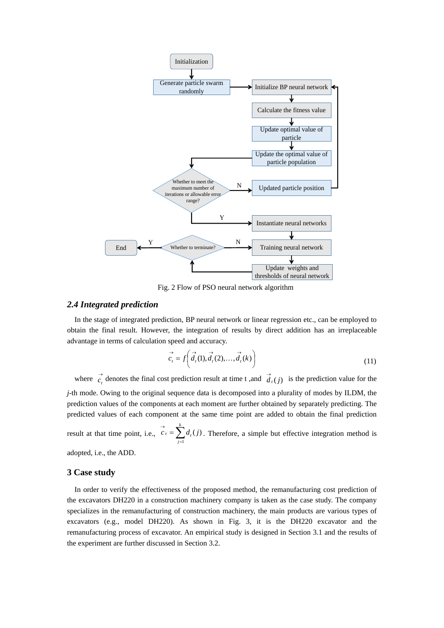

Fig. 2 Flow of PSO neural network algorithm

## *2.4 Integrated prediction*

In the stage of integrated prediction, BP neural network or linear regression etc., can be employed to obtain the final result. However, the integration of results by direct addition has an irreplaceable advantage in terms of calculation speed and accuracy.

$$
\vec{c}_t = f\left(\vec{d}_t(1), \vec{d}_t(2), \dots, \vec{d}_t(k)\right)
$$
\n(11)

where  $\vec{c}_t$  denotes the final cost prediction result at time t, and  $\vec{d}_t(j)$  is the prediction value for the *j*-th mode. Owing to the original sequence data is decomposed into a plurality of modes by ILDM, the prediction values of the components at each moment are further obtained by separately predicting. The predicted values of each component at the same time point are added to obtain the final prediction result at that time point, i.e.,  $\overrightarrow{c}_t = \sum_{j=1}^k$ *j*  $c_t = \sum d_t (j$ 1  $(j)$ . Therefore, a simple but effective integration method is adopted, i.e., the ADD.

# **3 Case study**

In order to verify the effectiveness of the proposed method, the remanufacturing cost prediction of the excavators DH220 in a construction machinery company is taken as the case study. The company specializes in the remanufacturing of construction machinery, the main products are various types of excavators (e.g., model DH220). As shown in Fig. 3, it is the DH220 excavator and the remanufacturing process of excavator. An empirical study is designed in Section 3.1 and the results of the experiment are further discussed in Section 3.2.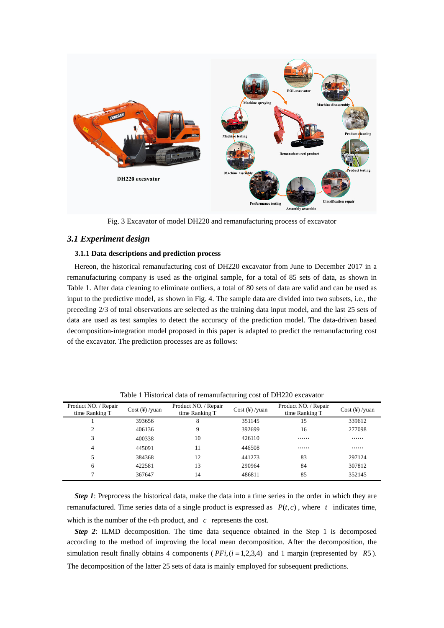

Fig. 3 Excavator of model DH220 and remanufacturing process of excavator

# *3.1 Experiment design*

## **3.1.1 Data descriptions and prediction process**

Hereon, the historical remanufacturing cost of DH220 excavator from June to December 2017 in a remanufacturing company is used as the original sample, for a total of 85 sets of data, as shown in Table 1. After data cleaning to eliminate outliers, a total of 80 sets of data are valid and can be used as input to the predictive model, as shown in Fig. 4. The sample data are divided into two subsets, i.e., the preceding 2/3 of total observations are selected as the training data input model, and the last 25 sets of data are used as test samples to detect the accuracy of the prediction model. The data-driven based decomposition-integration model proposed in this paper is adapted to predict the remanufacturing cost of the excavator. The prediction processes are as follows:

| Product NO. / Repair<br>time Ranking T | Cost (4) / yuan | Product NO. / Repair<br>time Ranking T | $Cost(F)/$ yuan | Product NO. / Repair<br>time Ranking T | Cost (4) / yuan |
|----------------------------------------|-----------------|----------------------------------------|-----------------|----------------------------------------|-----------------|
|                                        | 393656          | 8                                      | 351145          | 15                                     | 339612          |
| 2                                      | 406136          | 9                                      | 392699          | 16                                     | 277098          |
| 3                                      | 400338          | 10                                     | 426110          |                                        |                 |
| 4                                      | 445091          | 11                                     | 446508          |                                        |                 |
| 5                                      | 384368          | 12                                     | 441273          | 83                                     | 297124          |
| 6                                      | 422581          | 13                                     | 290964          | 84                                     | 307812          |
|                                        | 367647          | 14                                     | 486811          | 85                                     | 352145          |

Table 1 Historical data of remanufacturing cost of DH220 excavator

*Step 1*: Preprocess the historical data, make the data into a time series in the order in which they are remanufactured. Time series data of a single product is expressed as  $P(t, c)$ , where  $t$  indicates time, which is the number of the *t*-th product, and *c* represents the cost.

*Step 2*: ILMD decomposition. The time data sequence obtained in the Step 1 is decomposed according to the method of improving the local mean decomposition. After the decomposition, the simulation result finally obtains 4 components ( $PFi$ ,  $(i = 1,2,3,4)$  and 1 margin (represented by *R5*). The decomposition of the latter 25 sets of data is mainly employed for subsequent predictions.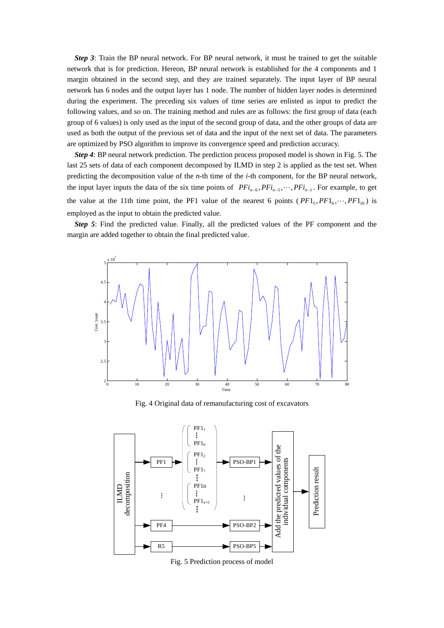*Step 3*: Train the BP neural network. For BP neural network, it must be trained to get the suitable network that is for prediction. Hereon, BP neural network is established for the 4 components and 1 margin obtained in the second step, and they are trained separately. The input layer of BP neural network has 6 nodes and the output layer has 1 node. The number of hidden layer nodes is determined during the experiment. The preceding six values of time series are enlisted as input to predict the following values, and so on. The training method and rules are as follows: the first group of data (each group of 6 values) is only used as the input of the second group of data, and the other groups of data are used as both the output of the previous set of data and the input of the next set of data. The parameters are optimized by PSO algorithm to improve its convergence speed and prediction accuracy.

*Step 4*: BP neural network prediction. The prediction process proposed model is shown in Fig. 5. The last 25 sets of data of each component decomposed by ILMD in step 2 is applied as the test set. When predicting the decomposition value of the *n*-th time of the *i*-th component, for the BP neural network, the input layer inputs the data of the six time points of  $PFi_{n-6}$ ,  $PFi_{n-5}$ ,  $\cdots$ ,  $PFi_{n-1}$ . For example, to get the value at the 11th time point, the PF1 value of the nearest 6 points  $(PF1_5, PF1_6, \dots, PF1_{10})$  is employed as the input to obtain the predicted value.

*Step 5*: Find the predicted value. Finally, all the predicted values of the PF component and the margin are added together to obtain the final predicted value.



Fig. 4 Original data of remanufacturing cost of excavators



Fig. 5 Prediction process of model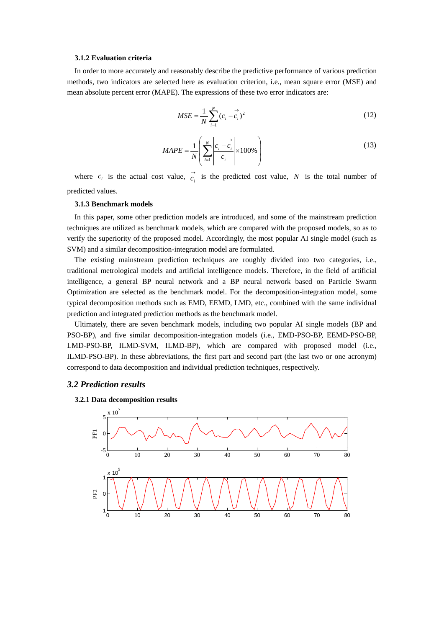#### **3.1.2 Evaluation criteria**

In order to more accurately and reasonably describe the predictive performance of various prediction methods, two indicators are selected here as evaluation criterion, i.e., mean square error (MSE) and mean absolute percent error (MAPE). The expressions of these two error indicators are:

$$
MSE = \frac{1}{N} \sum_{i=1}^{N} (c_i - c_i)^2
$$
 (12)

$$
MAPE = \frac{1}{N} \left( \sum_{i=1}^{N} \left| \frac{c_i - \overrightarrow{c_i}}{c_i} \right| \times 100\% \right)
$$
 (13)

where  $c_i$  is the actual cost value,  $\overrightarrow{c_i}$  is the predicted cost value, N is the total number of predicted values.

#### **3.1.3 Benchmark models**

In this paper, some other prediction models are introduced, and some of the mainstream prediction techniques are utilized as benchmark models, which are compared with the proposed models, so as to verify the superiority of the proposed model. Accordingly, the most popular AI single model (such as SVM) and a similar decomposition-integration model are formulated.

The existing mainstream prediction techniques are roughly divided into two categories, i.e., traditional metrological models and artificial intelligence models. Therefore, in the field of artificial intelligence, a general BP neural network and a BP neural network based on Particle Swarm Optimization are selected as the benchmark model. For the decomposition-integration model, some typical decomposition methods such as EMD, EEMD, LMD, etc., combined with the same individual prediction and integrated prediction methods as the benchmark model.

Ultimately, there are seven benchmark models, including two popular AI single models (BP and PSO-BP), and five similar decomposition-integration models (i.e., EMD-PSO-BP, EEMD-PSO-BP, LMD-PSO-BP, ILMD-SVM, ILMD-BP), which are compared with proposed model (i.e., ILMD-PSO-BP). In these abbreviations, the first part and second part (the last two or one acronym) correspond to data decomposition and individual prediction techniques, respectively.

## *3.2 Prediction results*

#### **3.2.1 Data decomposition results**

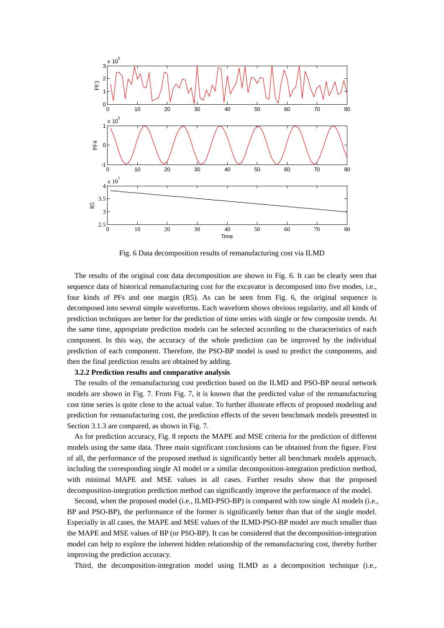

Fig. 6 Data decomposition results of remanufacturing cost via ILMD

The results of the original cost data decomposition are shown in Fig. 6. It can be clearly seen that sequence data of historical remanufacturing cost for the excavator is decomposed into five modes, i.e., four kinds of PFs and one margin (R5). As can be seen from Fig. 6, the original sequence is decomposed into several simple waveforms. Each waveform shows obvious regularity, and all kinds of prediction techniques are better for the prediction of time series with single or few composite trends. At the same time, appropriate prediction models can be selected according to the characteristics of each component. In this way, the accuracy of the whole prediction can be improved by the individual prediction of each component. Therefore, the PSO-BP model is used to predict the components, and then the final prediction results are obtained by adding.

#### **3.2.2 Prediction results and comparative analysis**

The results of the remanufacturing cost prediction based on the ILMD and PSO-BP neural network models are shown in Fig. 7. From Fig. 7, it is known that the predicted value of the remanufacturing cost time series is quite close to the actual value. To further illustrate effects of proposed modeling and prediction for remanufacturing cost, the prediction effects of the seven benchmark models presented in Section 3.1.3 are compared, as shown in Fig. 7.

As for prediction accuracy, Fig. 8 reports the MAPE and MSE criteria for the prediction of different models using the same data. Three main significant conclusions can be obtained from the figure. First of all, the performance of the proposed method is significantly better all benchmark models approach, including the corresponding single AI model or a similar decomposition-integration prediction method, with minimal MAPE and MSE values in all cases. Further results show that the proposed decomposition-integration prediction method can significantly improve the performance of the model.

Second, when the proposed model (i.e., ILMD-PSO-BP) is compared with tow single AI models (i.e., BP and PSO-BP), the performance of the former is significantly better than that of the single model. Especially in all cases, the MAPE and MSE values of the ILMD-PSO-BP model are much smaller than the MAPE and MSE values of BP (or PSO-BP). It can be considered that the decomposition-integration model can help to explore the inherent hidden relationship of the remanufacturing cost, thereby further improving the prediction accuracy.

Third, the decomposition-integration model using ILMD as a decomposition technique (i.e.,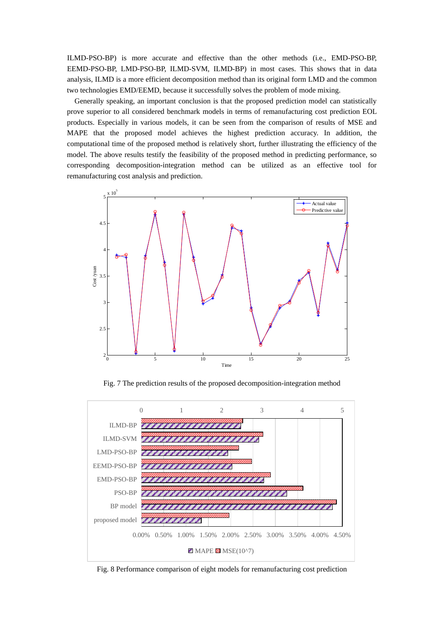ILMD-PSO-BP) is more accurate and effective than the other methods (i.e., EMD-PSO-BP, EEMD-PSO-BP, LMD-PSO-BP, ILMD-SVM, ILMD-BP) in most cases. This shows that in data analysis, ILMD is a more efficient decomposition method than its original form LMD and the common two technologies EMD/EEMD, because it successfully solves the problem of mode mixing.

Generally speaking, an important conclusion is that the proposed prediction model can statistically prove superior to all considered benchmark models in terms of remanufacturing cost prediction EOL products. Especially in various models, it can be seen from the comparison of results of MSE and MAPE that the proposed model achieves the highest prediction accuracy. In addition, the computational time of the proposed method is relatively short, further illustrating the efficiency of the model. The above results testify the feasibility of the proposed method in predicting performance, so corresponding decomposition-integration method can be utilized as an effective tool for remanufacturing cost analysis and prediction.



Fig. 7 The prediction results of the proposed decomposition-integration method



Fig. 8 Performance comparison of eight models for remanufacturing cost prediction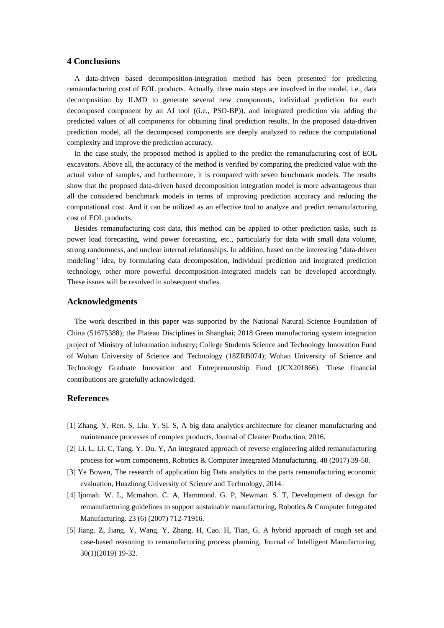# **4 Conclusions**

A data-driven based decomposition-integration method has been presented for predicting remanufacturing cost of EOL products. Actually, three main steps are involved in the model, i.e., data decomposition by ILMD to generate several new components, individual prediction for each decomposed component by an AI tool ((i.e., PSO-BP)), and integrated prediction via adding the predicted values of all components for obtaining final prediction results. In the proposed data-driven prediction model, all the decomposed components are deeply analyzed to reduce the computational complexity and improve the prediction accuracy.

In the case study, the proposed method is applied to the predict the remanufacturing cost of EOL excavators. Above all, the accuracy of the method is verified by comparing the predicted value with the actual value of samples, and furthermore, it is compared with seven benchmark models. The results show that the proposed data-driven based decomposition integration model is more advantageous than all the considered benchmark models in terms of improving prediction accuracy and reducing the computational cost. And it can be utilized as an effective tool to analyze and predict remanufacturing cost of EOL products.

Besides remanufacturing cost data, this method can be applied to other prediction tasks, such as power load forecasting, wind power forecasting, etc., particularly for data with small data volume, strong randomness, and unclear internal relationships. In addition, based on the interesting "data-driven modeling" idea, by formulating data decomposition, individual prediction and integrated prediction technology, other more powerful decomposition-integrated models can be developed accordingly. These issues will be resolved in subsequent studies.

## **Acknowledgments**

The work described in this paper was supported by the National Natural Science Foundation of China (51675388); the Plateau Disciplines in Shanghai; 2018 Green manufacturing system integration project of Ministry of information industry; College Students Science and Technology Innovation Fund of Wuhan University of Science and Technology (18ZRB074); Wuhan University of Science and Technology Graduate Innovation and Entrepreneurship Fund (JCX201866). These financial contributions are gratefully acknowledged.

# **References**

- [1] Zhang. Y, Ren. S, Liu. Y, Si. S, A big data analytics architecture for cleaner manufacturing and maintenance processes of complex products, Journal of Cleaner Production, 2016.
- [2] Li. L, Li. C, Tang. Y, Du, Y, An integrated approach of reverse engineering aided remanufacturing process for worn components, Robotics & Computer Integrated Manufacturing. 48 (2017) 39-50.
- [3] Ye Bowen, The research of application big Data analytics to the parts remanufacturing economic evaluation, Huazhong University of Science and Technology, 2014.
- [4] Ijomah. W. L, Mcmahon. C. A, Hammond. G. P, Newman. S. T, Development of design for remanufacturing guidelines to support sustainable manufacturing, Robotics & Computer Integrated Manufacturing. 23 (6) (2007) 712-71916.
- [5] Jiang. Z, Jiang. Y, Wang. Y, Zhang. H, Cao. H, Tian, G, A hybrid approach of rough set and case-based reasoning to remanufacturing process planning, Journal of Intelligent Manufacturing. 30(1)(2019) 19-32.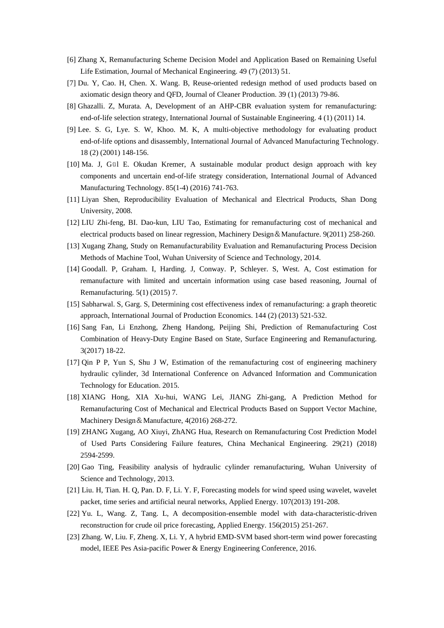- [6] Zhang X, Remanufacturing Scheme Decision Model and Application Based on Remaining Useful Life Estimation, Journal of Mechanical Engineering. 49 (7) (2013) 51.
- [7] Du. Y, Cao. H, Chen. X. Wang. B, Reuse-oriented redesign method of used products based on axiomatic design theory and QFD, Journal of Cleaner Production. 39 (1) (2013) 79-86.
- [8] Ghazalli. Z, Murata. A, Development of an AHP-CBR evaluation system for remanufacturing: end-of-life selection strategy, International Journal of Sustainable Engineering. 4 (1) (2011) 14.
- [9] Lee. S. G, Lye. S. W, Khoo. M. K, A multi-objective methodology for evaluating product end-of-life options and disassembly, International Journal of Advanced Manufacturing Technology. 18 (2) (2001) 148-156.
- [10] Ma. J, Gül E. Okudan Kremer, A sustainable modular product design approach with key components and uncertain end-of-life strategy consideration, International Journal of Advanced Manufacturing Technology. 85(1-4) (2016) 741-763.
- [11] Liyan Shen, Reproducibility Evaluation of Mechanical and Electrical Products, Shan Dong University, 2008.
- [12] LIU Zhi-feng, BI. Dao-kun, LIU Tao, Estimating for remanufacturing cost of mechanical and electrical products based on linear regression, Machinery Design&Manufacture. 9(2011) 258-260.
- [13] Xugang Zhang, Study on Remanufacturability Evaluation and Remanufacturing Process Decision Methods of Machine Tool, Wuhan University of Science and Technology, 2014.
- [14] Goodall. P, Graham. I, Harding. J, Conway. P, Schleyer. S, West. A, Cost estimation for remanufacture with limited and uncertain information using case based reasoning, Journal of Remanufacturing. 5(1) (2015) 7.
- [15] Sabharwal. S, Garg. S, Determining cost effectiveness index of remanufacturing: a graph theoretic approach, International Journal of Production Economics. 144 (2) (2013) 521-532.
- [16] Sang Fan, Li Enzhong, Zheng Handong, Peijing Shi, Prediction of Remanufacturing Cost Combination of Heavy-Duty Engine Based on State, Surface Engineering and Remanufacturing. 3(2017) 18-22.
- [17] Qin P P, Yun S, Shu J W, Estimation of the remanufacturing cost of engineering machinery hydraulic cylinder, 3d International Conference on Advanced Information and Communication Technology for Education. 2015.
- [18] XIANG Hong, XIA Xu-hui, WANG Lei, JIANG Zhi-gang, A Prediction Method for Remanufacturing Cost of Mechanical and Electrical Products Based on Support Vector Machine, Machinery Design & Manufacture, 4(2016) 268-272.
- [19] ZHANG Xugang, AO Xiuyi, ZhANG Hua, Research on Remanufacturing Cost Prediction Model of Used Parts Considering Failure features, China Mechanical Engineering. 29(21) (2018) 2594-2599.
- [20] Gao Ting, Feasibility analysis of hydraulic cylinder remanufacturing, Wuhan University of Science and Technology, 2013.
- [21] Liu. H, Tian. H. Q, Pan. D. F, Li. Y. F, Forecasting models for wind speed using wavelet, wavelet packet, time series and artificial neural networks, Applied Energy. 107(2013) 191-208.
- [22] Yu. L, Wang. Z, Tang. L, A decomposition-ensemble model with data-characteristic-driven reconstruction for crude oil price forecasting, Applied Energy. 156(2015) 251-267.
- [23] Zhang. W, Liu. F, Zheng. X, Li. Y, A hybrid EMD-SVM based short-term wind power forecasting model, IEEE Pes Asia-pacific Power & Energy Engineering Conference, 2016.